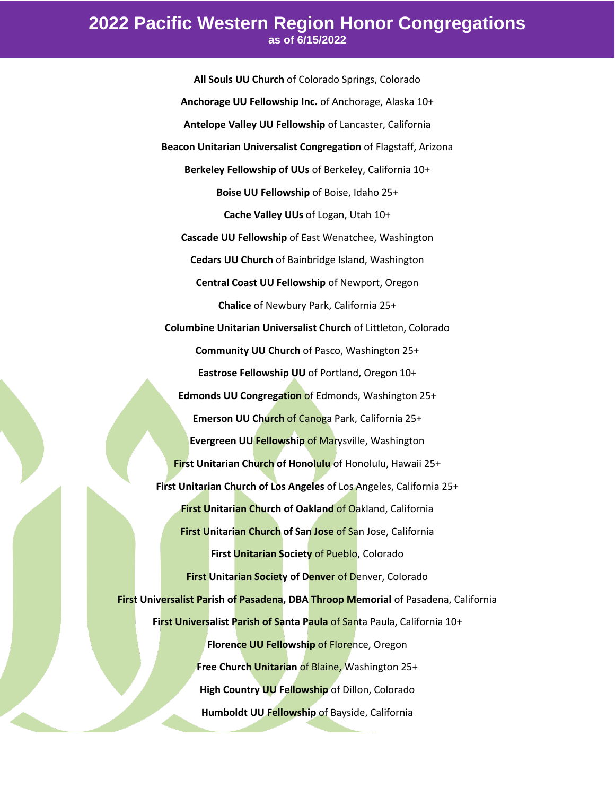**All Souls UU Church** of Colorado Springs, Colorado **Anchorage UU Fellowship Inc.** of Anchorage, Alaska 10+ **Antelope Valley UU Fellowship** of Lancaster, California **Beacon Unitarian Universalist Congregation** of Flagstaff, Arizona **Berkeley Fellowship of UUs** of Berkeley, California 10+ **Boise UU Fellowship** of Boise, Idaho 25+ **Cache Valley UUs** of Logan, Utah 10+ **Cascade UU Fellowship** of East Wenatchee, Washington **Cedars UU Church** of Bainbridge Island, Washington **Central Coast UU Fellowship** of Newport, Oregon **Chalice** of Newbury Park, California 25+ **Columbine Unitarian Universalist Church** of Littleton, Colorado **Community UU Church** of Pasco, Washington 25+ **Eastrose Fellowship UU** of Portland, Oregon 10+ **Edmonds UU Congregation** of Edmonds, Washington 25+ **Emerson UU Church** of Canoga Park, California 25+ **Evergreen UU Fellowship** of Marysville, Washington **First Unitarian Church of Honolulu** of Honolulu, Hawaii 25+ **First Unitarian Church of Los Angeles** of Los Angeles, California 25+ **First Unitarian Church of Oakland** of Oakland, California **First Unitarian Church of San Jose** of San Jose, California **First Unitarian Society** of Pueblo, Colorado **First Unitarian Society of Denver of Denver, Colorado First Universalist Parish of Pasadena, DBA Throop Memorial** of Pasadena, California **First Universalist Parish of Santa Paula** of Santa Paula, California 10+ **Florence UU Fellowship of Florence, Oregon Free Church Unitarian** of Blaine, Washington 25+ **High Country UU Fellowship** of Dillon, Colorado **Humboldt UU Fellowship** of Bayside, California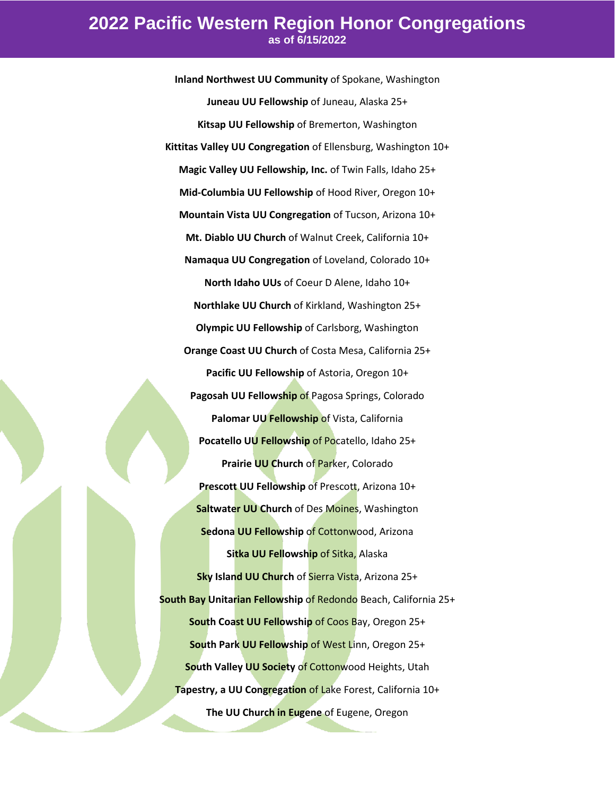**Inland Northwest UU Community** of Spokane, Washington **Juneau UU Fellowship** of Juneau, Alaska 25+ **Kitsap UU Fellowship** of Bremerton, Washington **Kittitas Valley UU Congregation** of Ellensburg, Washington 10+ **Magic Valley UU Fellowship, Inc.** of Twin Falls, Idaho 25+ **Mid-Columbia UU Fellowship** of Hood River, Oregon 10+ **Mountain Vista UU Congregation** of Tucson, Arizona 10+ **Mt. Diablo UU Church** of Walnut Creek, California 10+ **Namaqua UU Congregation** of Loveland, Colorado 10+ **North Idaho UUs** of Coeur D Alene, Idaho 10+ **Northlake UU Church** of Kirkland, Washington 25+ **Olympic UU Fellowship** of Carlsborg, Washington **Orange Coast UU Church** of Costa Mesa, California 25+ **Pacific UU Fellowship** of Astoria, Oregon 10+ **Pagosah UU Fellowship** of Pagosa Springs, Colorado **Palomar UU Fellowship of Vista, California Pocatello UU Fellowship** of Pocatello, Idaho 25+ **Prairie UU Church** of Parker, Colorado **Prescott UU Fellowship** of Prescott, Arizona 10+ **Saltwater UU Church** of Des Moines, Washington **Sedona UU Fellowship of Cottonwood, Arizona Sitka UU Fellowship** of Sitka, Alaska **Sky Island UU Church** of Sierra Vista, Arizona 25+ **South Bay Unitarian Fellowship** of Redondo Beach, California 25+ **South Coast UU Fellowship** of Coos Bay, Oregon 25+ **South Park UU Fellowship** of West Linn, Oregon 25+ **South Valley UU Society** of Cottonwood Heights, Utah **Tapestry, a UU Congregation** of Lake Forest, California 10+ **The UU Church in Eugene** of Eugene, Oregon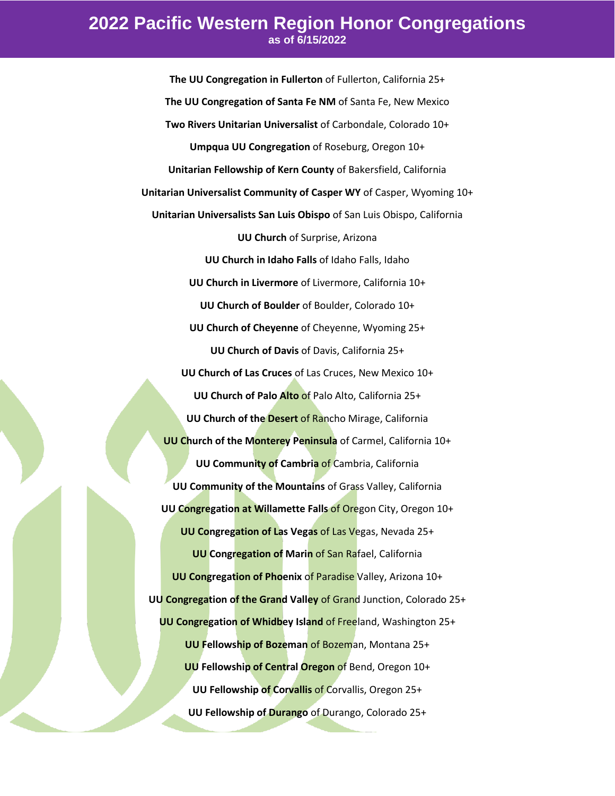**The UU Congregation in Fullerton** of Fullerton, California 25+ **The UU Congregation of Santa Fe NM** of Santa Fe, New Mexico **Two Rivers Unitarian Universalist** of Carbondale, Colorado 10+ **Umpqua UU Congregation** of Roseburg, Oregon 10+ **Unitarian Fellowship of Kern County** of Bakersfield, California **Unitarian Universalist Community of Casper WY** of Casper, Wyoming 10+ **Unitarian Universalists San Luis Obispo** of San Luis Obispo, California **UU Church** of Surprise, Arizona **UU Church in Idaho Falls** of Idaho Falls, Idaho **UU Church in Livermore** of Livermore, California 10+ **UU Church of Boulder** of Boulder, Colorado 10+ **UU Church of Cheyenne** of Cheyenne, Wyoming 25+ **UU Church of Davis** of Davis, California 25+ **UU Church of Las Cruces** of Las Cruces, New Mexico 10+ **UU Church of Palo Alto** of Palo Alto, California 25+ **UU Church of the Desert** of Rancho Mirage, California **UU Church of the Monterey Peninsula** of Carmel, California 10+ **UU Community of Cambria** of Cambria, California **UU Community of the Mountains** of Grass Valley, California **UU Congregation at Willamette Falls** of Oregon City, Oregon 10+ **UU Congregation of Las Vegas** of Las Vegas, Nevada 25+ **UU Congregation of Marin** of San Rafael, California **UU Congregation of Phoenix** of Paradise Valley, Arizona 10+ **UU Congregation of the Grand Valley** of Grand Junction, Colorado 25+ **UU Congregation of Whidbey Island** of Freeland, Washington 25+ **UU Fellowship of Bozeman** of Bozeman, Montana 25+ **UU Fellowship of Central Oregon** of Bend, Oregon 10+ **UU Fellowship of Corvallis** of Corvallis, Oregon 25+ **UU Fellowship of Durango** of Durango, Colorado 25+